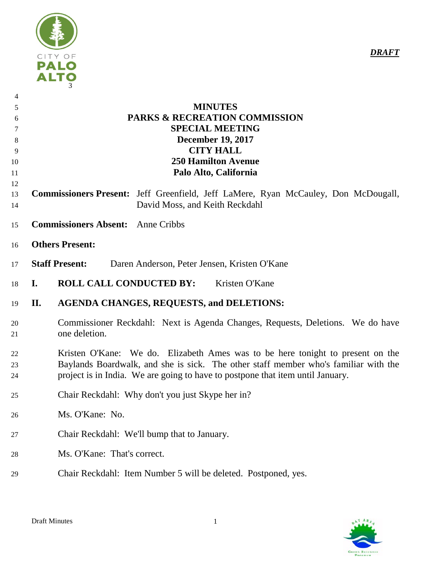

| $\overline{4}$<br>5<br>6<br>7<br>8<br>9<br>10<br>11<br>12 | <b>MINUTES</b><br><b>PARKS &amp; RECREATION COMMISSION</b><br><b>SPECIAL MEETING</b><br><b>December 19, 2017</b><br><b>CITY HALL</b><br><b>250 Hamilton Avenue</b><br>Palo Alto, California                                                             |
|-----------------------------------------------------------|---------------------------------------------------------------------------------------------------------------------------------------------------------------------------------------------------------------------------------------------------------|
| 13<br>14                                                  | Commissioners Present: Jeff Greenfield, Jeff LaMere, Ryan McCauley, Don McDougall,<br>David Moss, and Keith Reckdahl                                                                                                                                    |
| 15                                                        | <b>Commissioners Absent:</b><br><b>Anne Cribbs</b>                                                                                                                                                                                                      |
| 16                                                        | <b>Others Present:</b>                                                                                                                                                                                                                                  |
| 17                                                        | <b>Staff Present:</b><br>Daren Anderson, Peter Jensen, Kristen O'Kane                                                                                                                                                                                   |
| 18                                                        | <b>ROLL CALL CONDUCTED BY:</b><br>Kristen O'Kane<br>$\mathbf{I}$ .                                                                                                                                                                                      |
| 19                                                        | <b>AGENDA CHANGES, REQUESTS, and DELETIONS:</b><br>II.                                                                                                                                                                                                  |
| 20<br>21                                                  | Commissioner Reckdahl: Next is Agenda Changes, Requests, Deletions. We do have<br>one deletion.                                                                                                                                                         |
| 22<br>23<br>24                                            | Kristen O'Kane: We do. Elizabeth Ames was to be here tonight to present on the<br>Baylands Boardwalk, and she is sick. The other staff member who's familiar with the<br>project is in India. We are going to have to postpone that item until January. |
| 25                                                        | Chair Reckdahl: Why don't you just Skype her in?                                                                                                                                                                                                        |
| 26                                                        | Ms. O'Kane: No.                                                                                                                                                                                                                                         |
| 27                                                        | Chair Reckdahl: We'll bump that to January.                                                                                                                                                                                                             |
| 28                                                        | Ms. O'Kane: That's correct.                                                                                                                                                                                                                             |
| 29                                                        | Chair Reckdahl: Item Number 5 will be deleted. Postponed, yes.                                                                                                                                                                                          |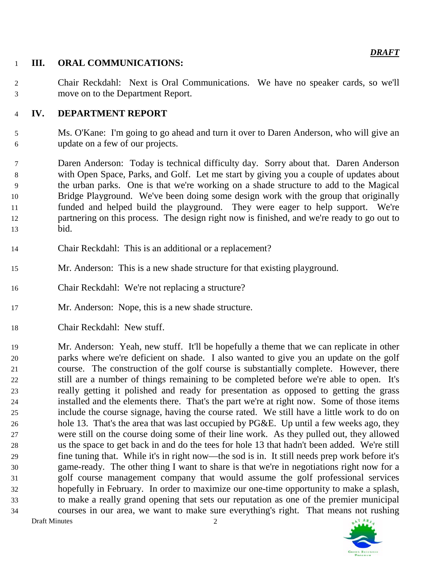## **III. ORAL COMMUNICATIONS:**

 Chair Reckdahl: Next is Oral Communications. We have no speaker cards, so we'll move on to the Department Report.

## **IV. DEPARTMENT REPORT**

- Ms. O'Kane: I'm going to go ahead and turn it over to Daren Anderson, who will give an update on a few of our projects.
- Daren Anderson: Today is technical difficulty day. Sorry about that. Daren Anderson with Open Space, Parks, and Golf. Let me start by giving you a couple of updates about the urban parks. One is that we're working on a shade structure to add to the Magical Bridge Playground. We've been doing some design work with the group that originally funded and helped build the playground. They were eager to help support. We're partnering on this process. The design right now is finished, and we're ready to go out to bid.
- Chair Reckdahl: This is an additional or a replacement?
- Mr. Anderson: This is a new shade structure for that existing playground.
- Chair Reckdahl: We're not replacing a structure?
- Mr. Anderson: Nope, this is a new shade structure.
- Chair Reckdahl: New stuff.

 Mr. Anderson: Yeah, new stuff. It'll be hopefully a theme that we can replicate in other parks where we're deficient on shade. I also wanted to give you an update on the golf course. The construction of the golf course is substantially complete. However, there still are a number of things remaining to be completed before we're able to open. It's really getting it polished and ready for presentation as opposed to getting the grass installed and the elements there. That's the part we're at right now. Some of those items include the course signage, having the course rated. We still have a little work to do on hole 13. That's the area that was last occupied by PG&E. Up until a few weeks ago, they were still on the course doing some of their line work. As they pulled out, they allowed us the space to get back in and do the tees for hole 13 that hadn't been added. We're still fine tuning that. While it's in right now—the sod is in. It still needs prep work before it's game-ready. The other thing I want to share is that we're in negotiations right now for a golf course management company that would assume the golf professional services hopefully in February. In order to maximize our one-time opportunity to make a splash, to make a really grand opening that sets our reputation as one of the premier municipal courses in our area, we want to make sure everything's right. That means not rushing Draft Minutes 2



*DRAFT*

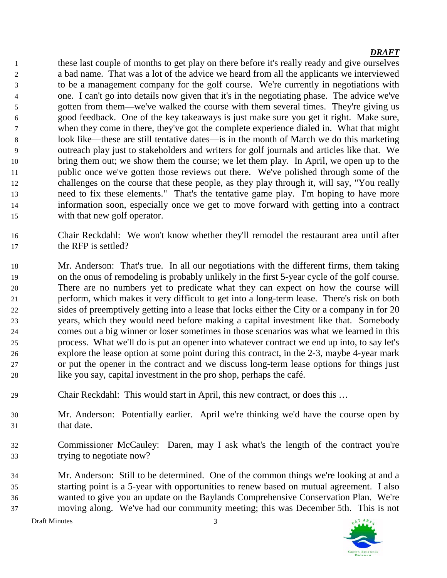these last couple of months to get play on there before it's really ready and give ourselves a bad name. That was a lot of the advice we heard from all the applicants we interviewed to be a management company for the golf course. We're currently in negotiations with one. I can't go into details now given that it's in the negotiating phase. The advice we've gotten from them—we've walked the course with them several times. They're giving us good feedback. One of the key takeaways is just make sure you get it right. Make sure, when they come in there, they've got the complete experience dialed in. What that might look like—these are still tentative dates—is in the month of March we do this marketing outreach play just to stakeholders and writers for golf journals and articles like that. We bring them out; we show them the course; we let them play. In April, we open up to the public once we've gotten those reviews out there. We've polished through some of the challenges on the course that these people, as they play through it, will say, "You really need to fix these elements." That's the tentative game play. I'm hoping to have more information soon, especially once we get to move forward with getting into a contract with that new golf operator.

- Chair Reckdahl: We won't know whether they'll remodel the restaurant area until after the RFP is settled?
- Mr. Anderson: That's true. In all our negotiations with the different firms, them taking on the onus of remodeling is probably unlikely in the first 5-year cycle of the golf course. There are no numbers yet to predicate what they can expect on how the course will perform, which makes it very difficult to get into a long-term lease. There's risk on both sides of preemptively getting into a lease that locks either the City or a company in for 20 years, which they would need before making a capital investment like that. Somebody comes out a big winner or loser sometimes in those scenarios was what we learned in this process. What we'll do is put an opener into whatever contract we end up into, to say let's explore the lease option at some point during this contract, in the 2-3, maybe 4-year mark or put the opener in the contract and we discuss long-term lease options for things just like you say, capital investment in the pro shop, perhaps the café.
- Chair Reckdahl: This would start in April, this new contract, or does this …
- Mr. Anderson: Potentially earlier. April we're thinking we'd have the course open by that date.
- Commissioner McCauley: Daren, may I ask what's the length of the contract you're trying to negotiate now?
- Mr. Anderson: Still to be determined. One of the common things we're looking at and a starting point is a 5-year with opportunities to renew based on mutual agreement. I also wanted to give you an update on the Baylands Comprehensive Conservation Plan. We're moving along. We've had our community meeting; this was December 5th. This is not

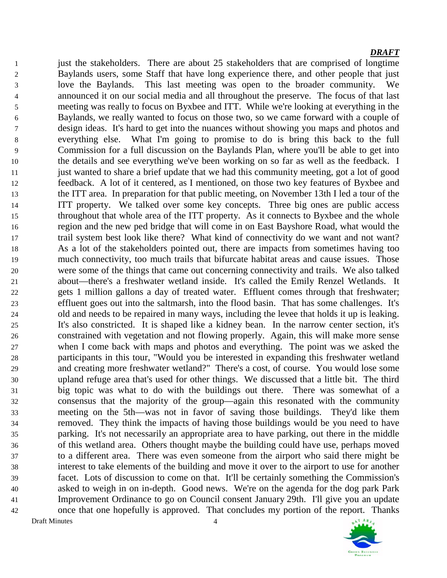just the stakeholders. There are about 25 stakeholders that are comprised of longtime Baylands users, some Staff that have long experience there, and other people that just love the Baylands. This last meeting was open to the broader community. We announced it on our social media and all throughout the preserve. The focus of that last meeting was really to focus on Byxbee and ITT. While we're looking at everything in the Baylands, we really wanted to focus on those two, so we came forward with a couple of design ideas. It's hard to get into the nuances without showing you maps and photos and everything else. What I'm going to promise to do is bring this back to the full Commission for a full discussion on the Baylands Plan, where you'll be able to get into the details and see everything we've been working on so far as well as the feedback. I just wanted to share a brief update that we had this community meeting, got a lot of good feedback. A lot of it centered, as I mentioned, on those two key features of Byxbee and the ITT area. In preparation for that public meeting, on November 13th I led a tour of the ITT property. We talked over some key concepts. Three big ones are public access throughout that whole area of the ITT property. As it connects to Byxbee and the whole region and the new ped bridge that will come in on East Bayshore Road, what would the trail system best look like there? What kind of connectivity do we want and not want? As a lot of the stakeholders pointed out, there are impacts from sometimes having too much connectivity, too much trails that bifurcate habitat areas and cause issues. Those were some of the things that came out concerning connectivity and trails. We also talked about—there's a freshwater wetland inside. It's called the Emily Renzel Wetlands. It gets 1 million gallons a day of treated water. Effluent comes through that freshwater; effluent goes out into the saltmarsh, into the flood basin. That has some challenges. It's old and needs to be repaired in many ways, including the levee that holds it up is leaking. It's also constricted. It is shaped like a kidney bean. In the narrow center section, it's constrained with vegetation and not flowing properly. Again, this will make more sense when I come back with maps and photos and everything. The point was we asked the participants in this tour, "Would you be interested in expanding this freshwater wetland and creating more freshwater wetland?" There's a cost, of course. You would lose some upland refuge area that's used for other things. We discussed that a little bit. The third big topic was what to do with the buildings out there. There was somewhat of a consensus that the majority of the group—again this resonated with the community meeting on the 5th—was not in favor of saving those buildings. They'd like them removed. They think the impacts of having those buildings would be you need to have parking. It's not necessarily an appropriate area to have parking, out there in the middle of this wetland area. Others thought maybe the building could have use, perhaps moved to a different area. There was even someone from the airport who said there might be interest to take elements of the building and move it over to the airport to use for another facet. Lots of discussion to come on that. It'll be certainly something the Commission's asked to weigh in on in-depth. Good news. We're on the agenda for the dog park Park Improvement Ordinance to go on Council consent January 29th. I'll give you an update once that one hopefully is approved. That concludes my portion of the report. Thanks Draft Minutes 4

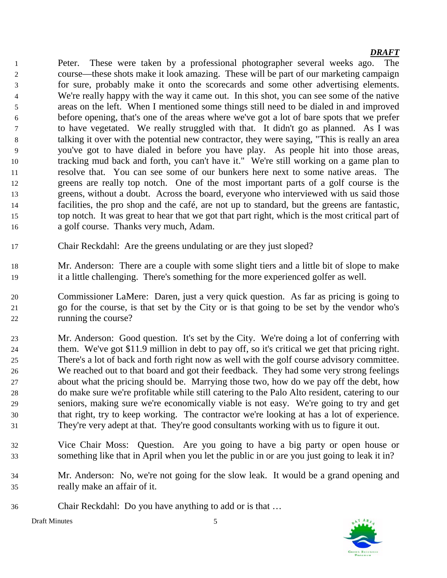Peter. These were taken by a professional photographer several weeks ago. The course—these shots make it look amazing. These will be part of our marketing campaign for sure, probably make it onto the scorecards and some other advertising elements. We're really happy with the way it came out. In this shot, you can see some of the native areas on the left. When I mentioned some things still need to be dialed in and improved before opening, that's one of the areas where we've got a lot of bare spots that we prefer to have vegetated. We really struggled with that. It didn't go as planned. As I was talking it over with the potential new contractor, they were saying, "This is really an area you've got to have dialed in before you have play. As people hit into those areas, tracking mud back and forth, you can't have it." We're still working on a game plan to resolve that. You can see some of our bunkers here next to some native areas. The greens are really top notch. One of the most important parts of a golf course is the greens, without a doubt. Across the board, everyone who interviewed with us said those facilities, the pro shop and the café, are not up to standard, but the greens are fantastic, top notch. It was great to hear that we got that part right, which is the most critical part of a golf course. Thanks very much, Adam.

- Chair Reckdahl: Are the greens undulating or are they just sloped?
- Mr. Anderson: There are a couple with some slight tiers and a little bit of slope to make it a little challenging. There's something for the more experienced golfer as well.
- Commissioner LaMere: Daren, just a very quick question. As far as pricing is going to go for the course, is that set by the City or is that going to be set by the vendor who's running the course?
- Mr. Anderson: Good question. It's set by the City. We're doing a lot of conferring with them. We've got \$11.9 million in debt to pay off, so it's critical we get that pricing right. There's a lot of back and forth right now as well with the golf course advisory committee. We reached out to that board and got their feedback. They had some very strong feelings about what the pricing should be. Marrying those two, how do we pay off the debt, how do make sure we're profitable while still catering to the Palo Alto resident, catering to our seniors, making sure we're economically viable is not easy. We're going to try and get that right, try to keep working. The contractor we're looking at has a lot of experience. They're very adept at that. They're good consultants working with us to figure it out.
- Vice Chair Moss: Question. Are you going to have a big party or open house or something like that in April when you let the public in or are you just going to leak it in?
- Mr. Anderson: No, we're not going for the slow leak. It would be a grand opening and really make an affair of it.
- Chair Reckdahl: Do you have anything to add or is that …



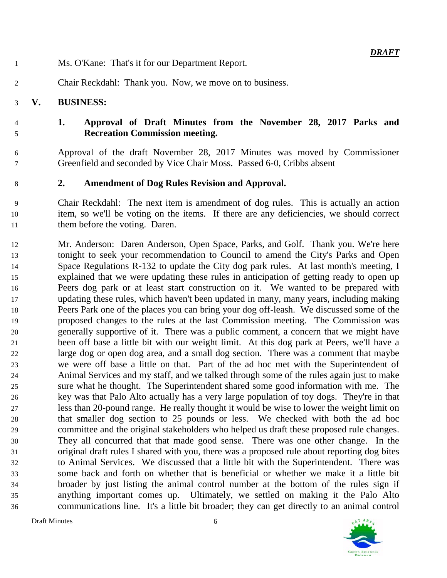- Ms. O'Kane: That's it for our Department Report.
- Chair Reckdahl: Thank you. Now, we move on to business.

## **V. BUSINESS:**

## **1. Approval of Draft Minutes from the November 28, 2017 Parks and Recreation Commission meeting.**

- Approval of the draft November 28, 2017 Minutes was moved by Commissioner Greenfield and seconded by Vice Chair Moss. Passed 6-0, Cribbs absent
- **2. Amendment of Dog Rules Revision and Approval.**
- Chair Reckdahl: The next item is amendment of dog rules. This is actually an action item, so we'll be voting on the items. If there are any deficiencies, we should correct them before the voting. Daren.
- Mr. Anderson: Daren Anderson, Open Space, Parks, and Golf. Thank you. We're here tonight to seek your recommendation to Council to amend the City's Parks and Open Space Regulations R-132 to update the City dog park rules. At last month's meeting, I explained that we were updating these rules in anticipation of getting ready to open up Peers dog park or at least start construction on it. We wanted to be prepared with updating these rules, which haven't been updated in many, many years, including making Peers Park one of the places you can bring your dog off-leash. We discussed some of the proposed changes to the rules at the last Commission meeting. The Commission was generally supportive of it. There was a public comment, a concern that we might have been off base a little bit with our weight limit. At this dog park at Peers, we'll have a large dog or open dog area, and a small dog section. There was a comment that maybe we were off base a little on that. Part of the ad hoc met with the Superintendent of Animal Services and my staff, and we talked through some of the rules again just to make sure what he thought. The Superintendent shared some good information with me. The key was that Palo Alto actually has a very large population of toy dogs. They're in that less than 20-pound range. He really thought it would be wise to lower the weight limit on that smaller dog section to 25 pounds or less. We checked with both the ad hoc committee and the original stakeholders who helped us draft these proposed rule changes. They all concurred that that made good sense. There was one other change. In the original draft rules I shared with you, there was a proposed rule about reporting dog bites to Animal Services. We discussed that a little bit with the Superintendent. There was some back and forth on whether that is beneficial or whether we make it a little bit broader by just listing the animal control number at the bottom of the rules sign if anything important comes up. Ultimately, we settled on making it the Palo Alto communications line. It's a little bit broader; they can get directly to an animal control

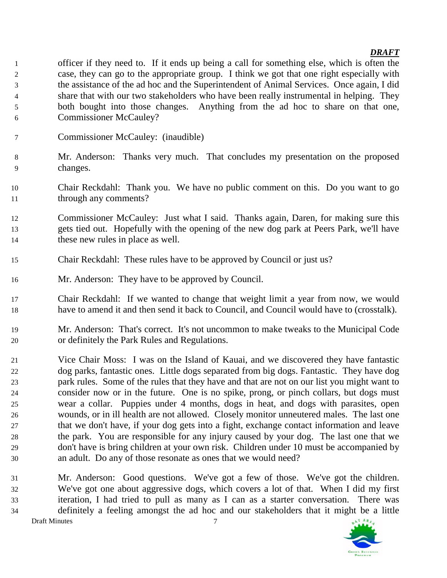- officer if they need to. If it ends up being a call for something else, which is often the case, they can go to the appropriate group. I think we got that one right especially with the assistance of the ad hoc and the Superintendent of Animal Services. Once again, I did share that with our two stakeholders who have been really instrumental in helping. They both bought into those changes. Anything from the ad hoc to share on that one, Commissioner McCauley?
- Commissioner McCauley: (inaudible)
- Mr. Anderson: Thanks very much. That concludes my presentation on the proposed changes.
- Chair Reckdahl: Thank you. We have no public comment on this. Do you want to go 11 through any comments?
- Commissioner McCauley: Just what I said. Thanks again, Daren, for making sure this gets tied out. Hopefully with the opening of the new dog park at Peers Park, we'll have 14 these new rules in place as well.
- Chair Reckdahl: These rules have to be approved by Council or just us?
- Mr. Anderson: They have to be approved by Council.
- Chair Reckdahl: If we wanted to change that weight limit a year from now, we would have to amend it and then send it back to Council, and Council would have to (crosstalk).
- Mr. Anderson: That's correct. It's not uncommon to make tweaks to the Municipal Code or definitely the Park Rules and Regulations.
- Vice Chair Moss: I was on the Island of Kauai, and we discovered they have fantastic dog parks, fantastic ones. Little dogs separated from big dogs. Fantastic. They have dog park rules. Some of the rules that they have and that are not on our list you might want to consider now or in the future. One is no spike, prong, or pinch collars, but dogs must wear a collar. Puppies under 4 months, dogs in heat, and dogs with parasites, open wounds, or in ill health are not allowed. Closely monitor unneutered males. The last one that we don't have, if your dog gets into a fight, exchange contact information and leave the park. You are responsible for any injury caused by your dog. The last one that we don't have is bring children at your own risk. Children under 10 must be accompanied by an adult. Do any of those resonate as ones that we would need?
- Mr. Anderson: Good questions. We've got a few of those. We've got the children. We've got one about aggressive dogs, which covers a lot of that. When I did my first iteration, I had tried to pull as many as I can as a starter conversation. There was definitely a feeling amongst the ad hoc and our stakeholders that it might be a little Draft Minutes 7

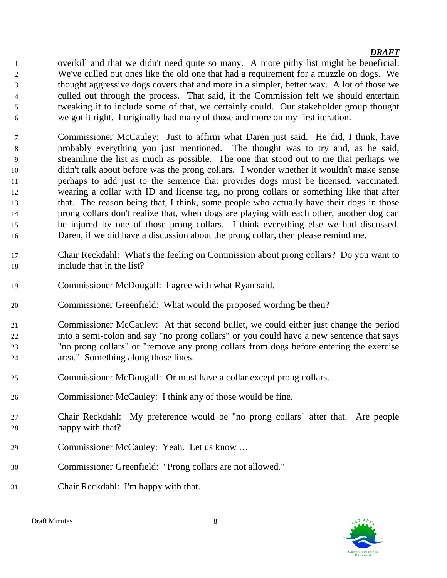overkill and that we didn't need quite so many. A more pithy list might be beneficial. We've culled out ones like the old one that had a requirement for a muzzle on dogs. We thought aggressive dogs covers that and more in a simpler, better way. A lot of those we culled out through the process. That said, if the Commission felt we should entertain tweaking it to include some of that, we certainly could. Our stakeholder group thought we got it right. I originally had many of those and more on my first iteration.

- Commissioner McCauley: Just to affirm what Daren just said. He did, I think, have probably everything you just mentioned. The thought was to try and, as he said, streamline the list as much as possible. The one that stood out to me that perhaps we didn't talk about before was the prong collars. I wonder whether it wouldn't make sense perhaps to add just to the sentence that provides dogs must be licensed, vaccinated, wearing a collar with ID and license tag, no prong collars or something like that after that. The reason being that, I think, some people who actually have their dogs in those prong collars don't realize that, when dogs are playing with each other, another dog can be injured by one of those prong collars. I think everything else we had discussed. Daren, if we did have a discussion about the prong collar, then please remind me.
- Chair Reckdahl: What's the feeling on Commission about prong collars? Do you want to include that in the list?
- Commissioner McDougall: I agree with what Ryan said.
- Commissioner Greenfield: What would the proposed wording be then?
- Commissioner McCauley: At that second bullet, we could either just change the period into a semi-colon and say "no prong collars" or you could have a new sentence that says "no prong collars" or "remove any prong collars from dogs before entering the exercise area." Something along those lines.
- Commissioner McDougall: Or must have a collar except prong collars.
- Commissioner McCauley: I think any of those would be fine.
- Chair Reckdahl: My preference would be "no prong collars" after that. Are people happy with that?
- Commissioner McCauley: Yeah. Let us know …
- Commissioner Greenfield: "Prong collars are not allowed."
- Chair Reckdahl: I'm happy with that.

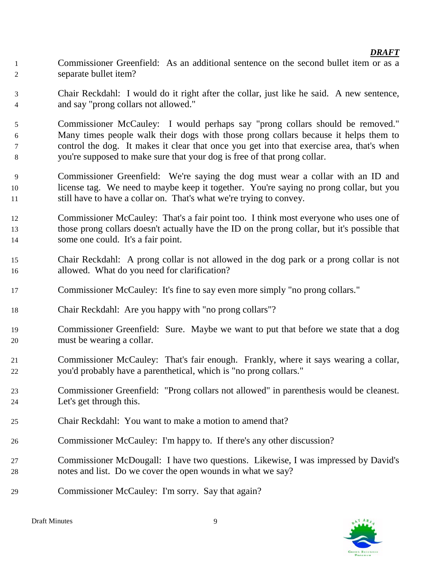- Commissioner Greenfield: As an additional sentence on the second bullet item or as a separate bullet item?
- Chair Reckdahl: I would do it right after the collar, just like he said. A new sentence, and say "prong collars not allowed."
- Commissioner McCauley: I would perhaps say "prong collars should be removed." Many times people walk their dogs with those prong collars because it helps them to control the dog. It makes it clear that once you get into that exercise area, that's when you're supposed to make sure that your dog is free of that prong collar.
- Commissioner Greenfield: We're saying the dog must wear a collar with an ID and license tag. We need to maybe keep it together. You're saying no prong collar, but you still have to have a collar on. That's what we're trying to convey.
- Commissioner McCauley: That's a fair point too. I think most everyone who uses one of those prong collars doesn't actually have the ID on the prong collar, but it's possible that some one could. It's a fair point.
- Chair Reckdahl: A prong collar is not allowed in the dog park or a prong collar is not allowed. What do you need for clarification?
- Commissioner McCauley: It's fine to say even more simply "no prong collars."
- Chair Reckdahl: Are you happy with "no prong collars"?
- Commissioner Greenfield: Sure. Maybe we want to put that before we state that a dog must be wearing a collar.
- Commissioner McCauley: That's fair enough. Frankly, where it says wearing a collar, you'd probably have a parenthetical, which is "no prong collars."
- Commissioner Greenfield: "Prong collars not allowed" in parenthesis would be cleanest. Let's get through this.
- Chair Reckdahl: You want to make a motion to amend that?
- Commissioner McCauley: I'm happy to. If there's any other discussion?
- Commissioner McDougall: I have two questions. Likewise, I was impressed by David's notes and list. Do we cover the open wounds in what we say?
- Commissioner McCauley: I'm sorry. Say that again?

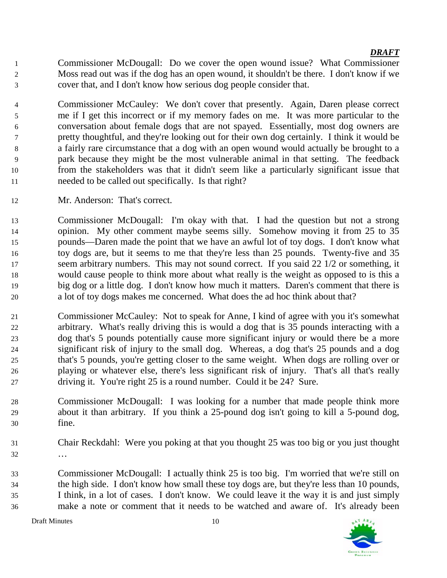- Commissioner McDougall: Do we cover the open wound issue? What Commissioner Moss read out was if the dog has an open wound, it shouldn't be there. I don't know if we cover that, and I don't know how serious dog people consider that.
- Commissioner McCauley: We don't cover that presently. Again, Daren please correct me if I get this incorrect or if my memory fades on me. It was more particular to the conversation about female dogs that are not spayed. Essentially, most dog owners are pretty thoughtful, and they're looking out for their own dog certainly. I think it would be a fairly rare circumstance that a dog with an open wound would actually be brought to a park because they might be the most vulnerable animal in that setting. The feedback from the stakeholders was that it didn't seem like a particularly significant issue that needed to be called out specifically. Is that right?
- Mr. Anderson: That's correct.
- Commissioner McDougall: I'm okay with that. I had the question but not a strong opinion. My other comment maybe seems silly. Somehow moving it from 25 to 35 pounds—Daren made the point that we have an awful lot of toy dogs. I don't know what toy dogs are, but it seems to me that they're less than 25 pounds. Twenty-five and 35 17 seem arbitrary numbers. This may not sound correct. If you said 22 1/2 or something, it would cause people to think more about what really is the weight as opposed to is this a big dog or a little dog. I don't know how much it matters. Daren's comment that there is a lot of toy dogs makes me concerned. What does the ad hoc think about that?
- Commissioner McCauley: Not to speak for Anne, I kind of agree with you it's somewhat arbitrary. What's really driving this is would a dog that is 35 pounds interacting with a dog that's 5 pounds potentially cause more significant injury or would there be a more significant risk of injury to the small dog. Whereas, a dog that's 25 pounds and a dog that's 5 pounds, you're getting closer to the same weight. When dogs are rolling over or playing or whatever else, there's less significant risk of injury. That's all that's really driving it. You're right 25 is a round number. Could it be 24? Sure.
- Commissioner McDougall: I was looking for a number that made people think more about it than arbitrary. If you think a 25-pound dog isn't going to kill a 5-pound dog, fine.
- Chair Reckdahl: Were you poking at that you thought 25 was too big or you just thought …
- Commissioner McDougall: I actually think 25 is too big. I'm worried that we're still on the high side. I don't know how small these toy dogs are, but they're less than 10 pounds, I think, in a lot of cases. I don't know. We could leave it the way it is and just simply make a note or comment that it needs to be watched and aware of. It's already been

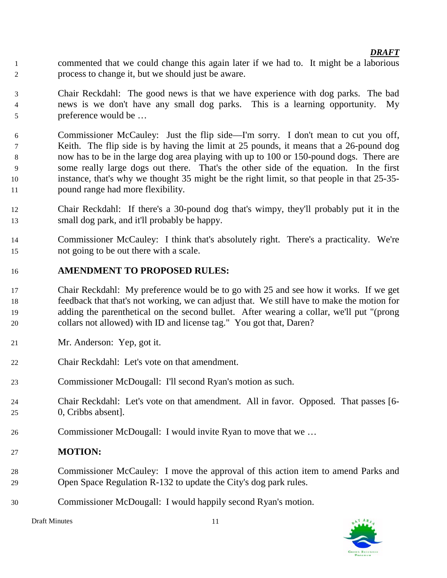- commented that we could change this again later if we had to. It might be a laborious process to change it, but we should just be aware.
- Chair Reckdahl: The good news is that we have experience with dog parks. The bad news is we don't have any small dog parks. This is a learning opportunity. My preference would be …
- Commissioner McCauley: Just the flip side—I'm sorry. I don't mean to cut you off, Keith. The flip side is by having the limit at 25 pounds, it means that a 26-pound dog now has to be in the large dog area playing with up to 100 or 150-pound dogs. There are some really large dogs out there. That's the other side of the equation. In the first instance, that's why we thought 35 might be the right limit, so that people in that 25-35- pound range had more flexibility.
- Chair Reckdahl: If there's a 30-pound dog that's wimpy, they'll probably put it in the small dog park, and it'll probably be happy.
- Commissioner McCauley: I think that's absolutely right. There's a practicality. We're not going to be out there with a scale.

### **AMENDMENT TO PROPOSED RULES:**

- Chair Reckdahl: My preference would be to go with 25 and see how it works. If we get feedback that that's not working, we can adjust that. We still have to make the motion for adding the parenthetical on the second bullet. After wearing a collar, we'll put "(prong collars not allowed) with ID and license tag." You got that, Daren?
- Mr. Anderson: Yep, got it.
- Chair Reckdahl: Let's vote on that amendment.
- Commissioner McDougall: I'll second Ryan's motion as such.
- Chair Reckdahl: Let's vote on that amendment. All in favor. Opposed. That passes [6- 0, Cribbs absent].
- Commissioner McDougall: I would invite Ryan to move that we …

### **MOTION:**

- Commissioner McCauley: I move the approval of this action item to amend Parks and Open Space Regulation R-132 to update the City's dog park rules.
- Commissioner McDougall: I would happily second Ryan's motion.

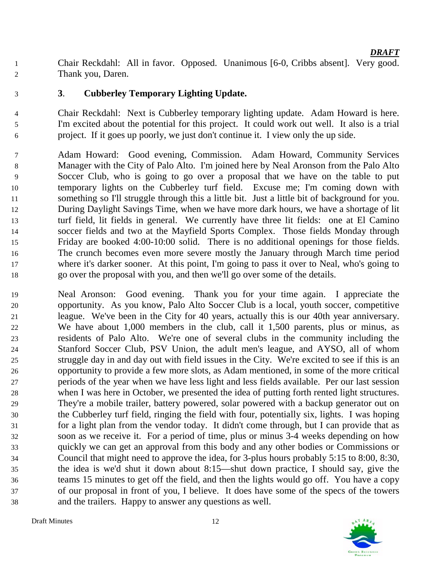Chair Reckdahl: All in favor. Opposed. Unanimous [6-0, Cribbs absent]. Very good. Thank you, Daren.

**3**. **Cubberley Temporary Lighting Update.**

 Chair Reckdahl: Next is Cubberley temporary lighting update. Adam Howard is here. I'm excited about the potential for this project. It could work out well. It also is a trial project. If it goes up poorly, we just don't continue it. I view only the up side.

 Adam Howard: Good evening, Commission. Adam Howard, Community Services Manager with the City of Palo Alto. I'm joined here by Neal Aronson from the Palo Alto Soccer Club, who is going to go over a proposal that we have on the table to put temporary lights on the Cubberley turf field. Excuse me; I'm coming down with something so I'll struggle through this a little bit. Just a little bit of background for you. During Daylight Savings Time, when we have more dark hours, we have a shortage of lit turf field, lit fields in general. We currently have three lit fields: one at El Camino soccer fields and two at the Mayfield Sports Complex. Those fields Monday through Friday are booked 4:00-10:00 solid. There is no additional openings for those fields. The crunch becomes even more severe mostly the January through March time period where it's darker sooner. At this point, I'm going to pass it over to Neal, who's going to go over the proposal with you, and then we'll go over some of the details.

 Neal Aronson: Good evening. Thank you for your time again. I appreciate the opportunity. As you know, Palo Alto Soccer Club is a local, youth soccer, competitive league. We've been in the City for 40 years, actually this is our 40th year anniversary. We have about 1,000 members in the club, call it 1,500 parents, plus or minus, as residents of Palo Alto. We're one of several clubs in the community including the Stanford Soccer Club, PSV Union, the adult men's league, and AYSO, all of whom struggle day in and day out with field issues in the City. We're excited to see if this is an opportunity to provide a few more slots, as Adam mentioned, in some of the more critical periods of the year when we have less light and less fields available. Per our last session when I was here in October, we presented the idea of putting forth rented light structures. They're a mobile trailer, battery powered, solar powered with a backup generator out on the Cubberley turf field, ringing the field with four, potentially six, lights. I was hoping for a light plan from the vendor today. It didn't come through, but I can provide that as soon as we receive it. For a period of time, plus or minus 3-4 weeks depending on how quickly we can get an approval from this body and any other bodies or Commissions or Council that might need to approve the idea, for 3-plus hours probably 5:15 to 8:00, 8:30, the idea is we'd shut it down about 8:15—shut down practice, I should say, give the teams 15 minutes to get off the field, and then the lights would go off. You have a copy of our proposal in front of you, I believe. It does have some of the specs of the towers and the trailers. Happy to answer any questions as well.

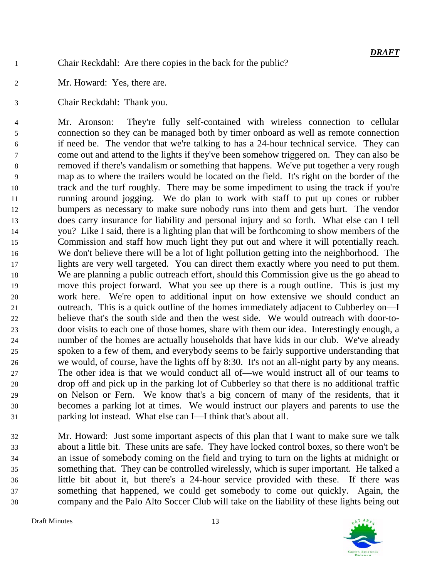- Chair Reckdahl: Are there copies in the back for the public?
- Mr. Howard: Yes, there are.
- Chair Reckdahl: Thank you.

 Mr. Aronson: They're fully self-contained with wireless connection to cellular connection so they can be managed both by timer onboard as well as remote connection if need be. The vendor that we're talking to has a 24-hour technical service. They can come out and attend to the lights if they've been somehow triggered on. They can also be removed if there's vandalism or something that happens. We've put together a very rough map as to where the trailers would be located on the field. It's right on the border of the track and the turf roughly. There may be some impediment to using the track if you're running around jogging. We do plan to work with staff to put up cones or rubber bumpers as necessary to make sure nobody runs into them and gets hurt. The vendor does carry insurance for liability and personal injury and so forth. What else can I tell you? Like I said, there is a lighting plan that will be forthcoming to show members of the Commission and staff how much light they put out and where it will potentially reach. We don't believe there will be a lot of light pollution getting into the neighborhood. The lights are very well targeted. You can direct them exactly where you need to put them. We are planning a public outreach effort, should this Commission give us the go ahead to move this project forward. What you see up there is a rough outline. This is just my work here. We're open to additional input on how extensive we should conduct an outreach. This is a quick outline of the homes immediately adjacent to Cubberley on—I believe that's the south side and then the west side. We would outreach with door-to- door visits to each one of those homes, share with them our idea. Interestingly enough, a number of the homes are actually households that have kids in our club. We've already spoken to a few of them, and everybody seems to be fairly supportive understanding that we would, of course, have the lights off by 8:30. It's not an all-night party by any means. The other idea is that we would conduct all of—we would instruct all of our teams to drop off and pick up in the parking lot of Cubberley so that there is no additional traffic on Nelson or Fern. We know that's a big concern of many of the residents, that it becomes a parking lot at times. We would instruct our players and parents to use the parking lot instead. What else can I—I think that's about all.

 Mr. Howard: Just some important aspects of this plan that I want to make sure we talk about a little bit. These units are safe. They have locked control boxes, so there won't be an issue of somebody coming on the field and trying to turn on the lights at midnight or something that. They can be controlled wirelessly, which is super important. He talked a little bit about it, but there's a 24-hour service provided with these. If there was something that happened, we could get somebody to come out quickly. Again, the company and the Palo Alto Soccer Club will take on the liability of these lights being out

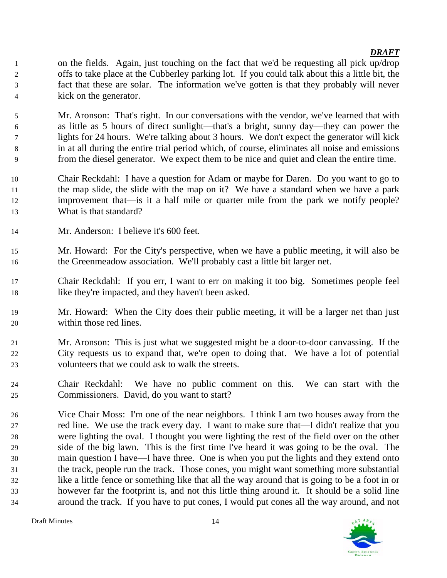on the fields. Again, just touching on the fact that we'd be requesting all pick up/drop offs to take place at the Cubberley parking lot. If you could talk about this a little bit, the fact that these are solar. The information we've gotten is that they probably will never kick on the generator.

 Mr. Aronson: That's right. In our conversations with the vendor, we've learned that with as little as 5 hours of direct sunlight—that's a bright, sunny day—they can power the lights for 24 hours. We're talking about 3 hours. We don't expect the generator will kick in at all during the entire trial period which, of course, eliminates all noise and emissions from the diesel generator. We expect them to be nice and quiet and clean the entire time.

- Chair Reckdahl: I have a question for Adam or maybe for Daren. Do you want to go to the map slide, the slide with the map on it? We have a standard when we have a park improvement that—is it a half mile or quarter mile from the park we notify people? What is that standard?
- Mr. Anderson: I believe it's 600 feet.
- Mr. Howard: For the City's perspective, when we have a public meeting, it will also be the Greenmeadow association. We'll probably cast a little bit larger net.
- Chair Reckdahl: If you err, I want to err on making it too big. Sometimes people feel like they're impacted, and they haven't been asked.
- Mr. Howard: When the City does their public meeting, it will be a larger net than just within those red lines.
- Mr. Aronson: This is just what we suggested might be a door-to-door canvassing. If the City requests us to expand that, we're open to doing that. We have a lot of potential volunteers that we could ask to walk the streets.
- Chair Reckdahl: We have no public comment on this. We can start with the Commissioners. David, do you want to start?
- Vice Chair Moss: I'm one of the near neighbors. I think I am two houses away from the red line. We use the track every day. I want to make sure that—I didn't realize that you were lighting the oval. I thought you were lighting the rest of the field over on the other side of the big lawn. This is the first time I've heard it was going to be the oval. The main question I have—I have three. One is when you put the lights and they extend onto the track, people run the track. Those cones, you might want something more substantial like a little fence or something like that all the way around that is going to be a foot in or however far the footprint is, and not this little thing around it. It should be a solid line around the track. If you have to put cones, I would put cones all the way around, and not

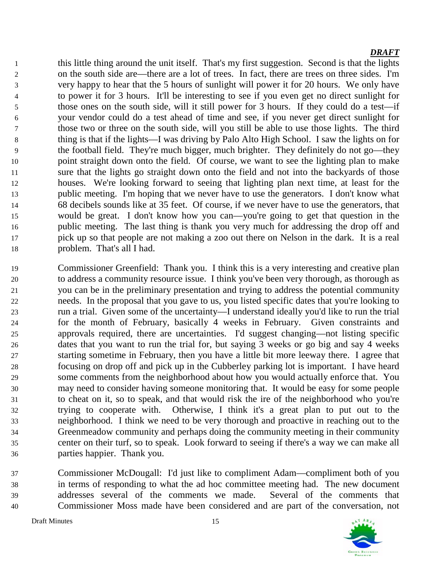this little thing around the unit itself. That's my first suggestion. Second is that the lights on the south side are—there are a lot of trees. In fact, there are trees on three sides. I'm very happy to hear that the 5 hours of sunlight will power it for 20 hours. We only have to power it for 3 hours. It'll be interesting to see if you even get no direct sunlight for those ones on the south side, will it still power for 3 hours. If they could do a test—if your vendor could do a test ahead of time and see, if you never get direct sunlight for those two or three on the south side, will you still be able to use those lights. The third thing is that if the lights—I was driving by Palo Alto High School. I saw the lights on for the football field. They're much bigger, much brighter. They definitely do not go—they point straight down onto the field. Of course, we want to see the lighting plan to make sure that the lights go straight down onto the field and not into the backyards of those houses. We're looking forward to seeing that lighting plan next time, at least for the public meeting. I'm hoping that we never have to use the generators. I don't know what 68 decibels sounds like at 35 feet. Of course, if we never have to use the generators, that would be great. I don't know how you can—you're going to get that question in the public meeting. The last thing is thank you very much for addressing the drop off and pick up so that people are not making a zoo out there on Nelson in the dark. It is a real problem. That's all I had.

- Commissioner Greenfield: Thank you. I think this is a very interesting and creative plan to address a community resource issue. I think you've been very thorough, as thorough as you can be in the preliminary presentation and trying to address the potential community needs. In the proposal that you gave to us, you listed specific dates that you're looking to run a trial. Given some of the uncertainty—I understand ideally you'd like to run the trial for the month of February, basically 4 weeks in February. Given constraints and approvals required, there are uncertainties. I'd suggest changing—not listing specific dates that you want to run the trial for, but saying 3 weeks or go big and say 4 weeks starting sometime in February, then you have a little bit more leeway there. I agree that focusing on drop off and pick up in the Cubberley parking lot is important. I have heard some comments from the neighborhood about how you would actually enforce that. You may need to consider having someone monitoring that. It would be easy for some people to cheat on it, so to speak, and that would risk the ire of the neighborhood who you're trying to cooperate with. Otherwise, I think it's a great plan to put out to the neighborhood. I think we need to be very thorough and proactive in reaching out to the Greenmeadow community and perhaps doing the community meeting in their community center on their turf, so to speak. Look forward to seeing if there's a way we can make all parties happier. Thank you.
- Commissioner McDougall: I'd just like to compliment Adam—compliment both of you in terms of responding to what the ad hoc committee meeting had. The new document addresses several of the comments we made. Several of the comments that Commissioner Moss made have been considered and are part of the conversation, not

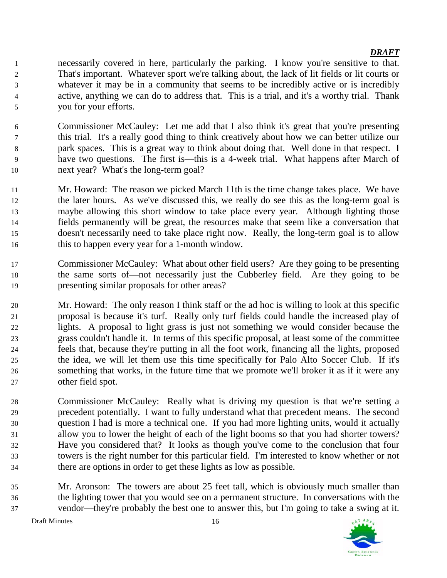- necessarily covered in here, particularly the parking. I know you're sensitive to that. That's important. Whatever sport we're talking about, the lack of lit fields or lit courts or whatever it may be in a community that seems to be incredibly active or is incredibly active, anything we can do to address that. This is a trial, and it's a worthy trial. Thank you for your efforts.
- Commissioner McCauley: Let me add that I also think it's great that you're presenting this trial. It's a really good thing to think creatively about how we can better utilize our park spaces. This is a great way to think about doing that. Well done in that respect. I have two questions. The first is—this is a 4-week trial. What happens after March of next year? What's the long-term goal?
- Mr. Howard: The reason we picked March 11th is the time change takes place. We have the later hours. As we've discussed this, we really do see this as the long-term goal is maybe allowing this short window to take place every year. Although lighting those fields permanently will be great, the resources make that seem like a conversation that doesn't necessarily need to take place right now. Really, the long-term goal is to allow this to happen every year for a 1-month window.
- Commissioner McCauley: What about other field users? Are they going to be presenting the same sorts of—not necessarily just the Cubberley field. Are they going to be presenting similar proposals for other areas?
- Mr. Howard: The only reason I think staff or the ad hoc is willing to look at this specific proposal is because it's turf. Really only turf fields could handle the increased play of lights. A proposal to light grass is just not something we would consider because the grass couldn't handle it. In terms of this specific proposal, at least some of the committee feels that, because they're putting in all the foot work, financing all the lights, proposed the idea, we will let them use this time specifically for Palo Alto Soccer Club. If it's something that works, in the future time that we promote we'll broker it as if it were any other field spot.
- Commissioner McCauley: Really what is driving my question is that we're setting a precedent potentially. I want to fully understand what that precedent means. The second question I had is more a technical one. If you had more lighting units, would it actually allow you to lower the height of each of the light booms so that you had shorter towers? Have you considered that? It looks as though you've come to the conclusion that four towers is the right number for this particular field. I'm interested to know whether or not there are options in order to get these lights as low as possible.
- Mr. Aronson: The towers are about 25 feet tall, which is obviously much smaller than the lighting tower that you would see on a permanent structure. In conversations with the vendor—they're probably the best one to answer this, but I'm going to take a swing at it.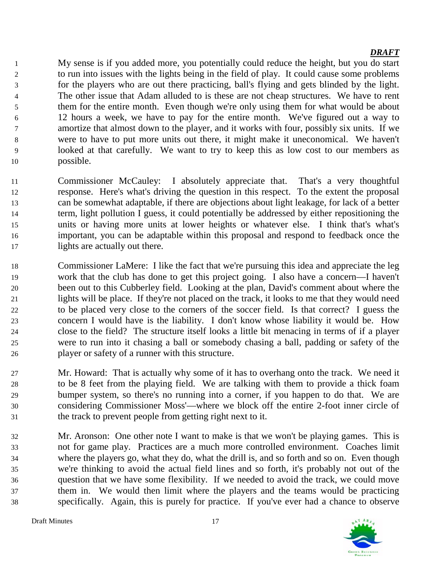My sense is if you added more, you potentially could reduce the height, but you do start to run into issues with the lights being in the field of play. It could cause some problems for the players who are out there practicing, ball's flying and gets blinded by the light. The other issue that Adam alluded to is these are not cheap structures. We have to rent them for the entire month. Even though we're only using them for what would be about 12 hours a week, we have to pay for the entire month. We've figured out a way to amortize that almost down to the player, and it works with four, possibly six units. If we were to have to put more units out there, it might make it uneconomical. We haven't looked at that carefully. We want to try to keep this as low cost to our members as possible.

- Commissioner McCauley: I absolutely appreciate that. That's a very thoughtful response. Here's what's driving the question in this respect. To the extent the proposal can be somewhat adaptable, if there are objections about light leakage, for lack of a better term, light pollution I guess, it could potentially be addressed by either repositioning the units or having more units at lower heights or whatever else. I think that's what's important, you can be adaptable within this proposal and respond to feedback once the lights are actually out there.
- Commissioner LaMere: I like the fact that we're pursuing this idea and appreciate the leg work that the club has done to get this project going. I also have a concern—I haven't been out to this Cubberley field. Looking at the plan, David's comment about where the lights will be place. If they're not placed on the track, it looks to me that they would need to be placed very close to the corners of the soccer field. Is that correct? I guess the concern I would have is the liability. I don't know whose liability it would be. How close to the field? The structure itself looks a little bit menacing in terms of if a player were to run into it chasing a ball or somebody chasing a ball, padding or safety of the player or safety of a runner with this structure.
- Mr. Howard: That is actually why some of it has to overhang onto the track. We need it to be 8 feet from the playing field. We are talking with them to provide a thick foam bumper system, so there's no running into a corner, if you happen to do that. We are considering Commissioner Moss'—where we block off the entire 2-foot inner circle of the track to prevent people from getting right next to it.
- Mr. Aronson: One other note I want to make is that we won't be playing games. This is not for game play. Practices are a much more controlled environment. Coaches limit where the players go, what they do, what the drill is, and so forth and so on. Even though we're thinking to avoid the actual field lines and so forth, it's probably not out of the question that we have some flexibility. If we needed to avoid the track, we could move them in. We would then limit where the players and the teams would be practicing specifically. Again, this is purely for practice. If you've ever had a chance to observe

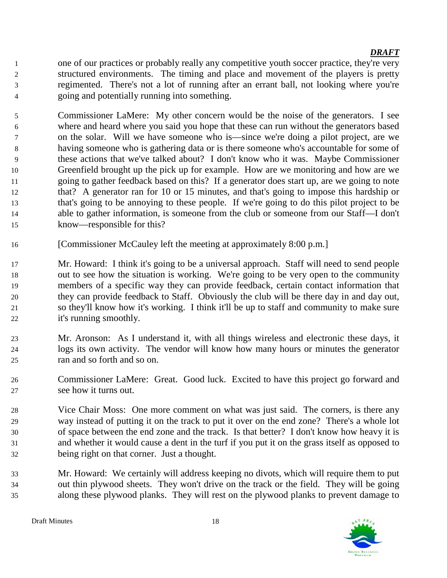one of our practices or probably really any competitive youth soccer practice, they're very structured environments. The timing and place and movement of the players is pretty regimented. There's not a lot of running after an errant ball, not looking where you're going and potentially running into something.

 Commissioner LaMere: My other concern would be the noise of the generators. I see where and heard where you said you hope that these can run without the generators based on the solar. Will we have someone who is—since we're doing a pilot project, are we having someone who is gathering data or is there someone who's accountable for some of these actions that we've talked about? I don't know who it was. Maybe Commissioner Greenfield brought up the pick up for example. How are we monitoring and how are we going to gather feedback based on this? If a generator does start up, are we going to note that? A generator ran for 10 or 15 minutes, and that's going to impose this hardship or that's going to be annoying to these people. If we're going to do this pilot project to be able to gather information, is someone from the club or someone from our Staff—I don't know—responsible for this?

- [Commissioner McCauley left the meeting at approximately 8:00 p.m.]
- Mr. Howard: I think it's going to be a universal approach. Staff will need to send people out to see how the situation is working. We're going to be very open to the community members of a specific way they can provide feedback, certain contact information that they can provide feedback to Staff. Obviously the club will be there day in and day out, so they'll know how it's working. I think it'll be up to staff and community to make sure it's running smoothly.
- Mr. Aronson: As I understand it, with all things wireless and electronic these days, it logs its own activity. The vendor will know how many hours or minutes the generator ran and so forth and so on.
- Commissioner LaMere: Great. Good luck. Excited to have this project go forward and see how it turns out.
- Vice Chair Moss: One more comment on what was just said. The corners, is there any way instead of putting it on the track to put it over on the end zone? There's a whole lot of space between the end zone and the track. Is that better? I don't know how heavy it is and whether it would cause a dent in the turf if you put it on the grass itself as opposed to being right on that corner. Just a thought.
- Mr. Howard: We certainly will address keeping no divots, which will require them to put out thin plywood sheets. They won't drive on the track or the field. They will be going along these plywood planks. They will rest on the plywood planks to prevent damage to

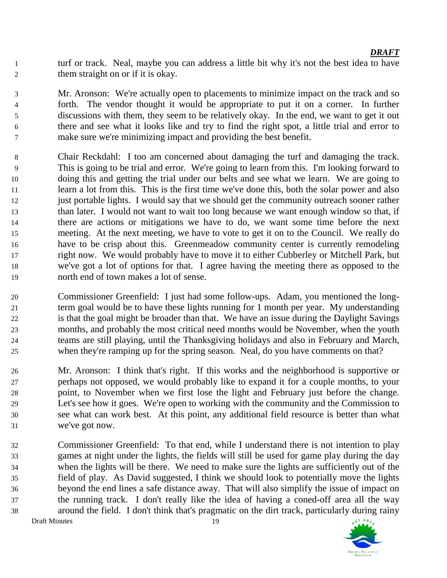turf or track. Neal, maybe you can address a little bit why it's not the best idea to have them straight on or if it is okay.

 Mr. Aronson: We're actually open to placements to minimize impact on the track and so forth. The vendor thought it would be appropriate to put it on a corner. In further discussions with them, they seem to be relatively okay. In the end, we want to get it out there and see what it looks like and try to find the right spot, a little trial and error to make sure we're minimizing impact and providing the best benefit.

- Chair Reckdahl: I too am concerned about damaging the turf and damaging the track. This is going to be trial and error. We're going to learn from this. I'm looking forward to doing this and getting the trial under our belts and see what we learn. We are going to learn a lot from this. This is the first time we've done this, both the solar power and also just portable lights. I would say that we should get the community outreach sooner rather than later. I would not want to wait too long because we want enough window so that, if there are actions or mitigations we have to do, we want some time before the next meeting. At the next meeting, we have to vote to get it on to the Council. We really do have to be crisp about this. Greenmeadow community center is currently remodeling right now. We would probably have to move it to either Cubberley or Mitchell Park, but we've got a lot of options for that. I agree having the meeting there as opposed to the north end of town makes a lot of sense.
- Commissioner Greenfield: I just had some follow-ups. Adam, you mentioned the long- term goal would be to have these lights running for 1 month per year. My understanding is that the goal might be broader than that. We have an issue during the Daylight Savings months, and probably the most critical need months would be November, when the youth teams are still playing, until the Thanksgiving holidays and also in February and March, when they're ramping up for the spring season. Neal, do you have comments on that?
- Mr. Aronson: I think that's right. If this works and the neighborhood is supportive or perhaps not opposed, we would probably like to expand it for a couple months, to your point, to November when we first lose the light and February just before the change. Let's see how it goes. We're open to working with the community and the Commission to see what can work best. At this point, any additional field resource is better than what we've got now.
- Commissioner Greenfield: To that end, while I understand there is not intention to play games at night under the lights, the fields will still be used for game play during the day when the lights will be there. We need to make sure the lights are sufficiently out of the field of play. As David suggested, I think we should look to potentially move the lights beyond the end lines a safe distance away. That will also simplify the issue of impact on the running track. I don't really like the idea of having a coned-off area all the way around the field. I don't think that's pragmatic on the dirt track, particularly during rainy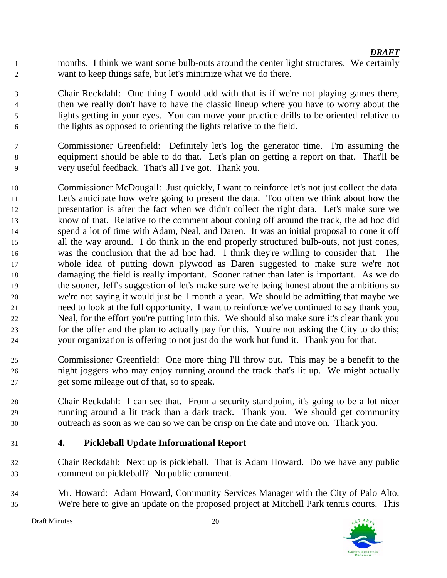months. I think we want some bulb-outs around the center light structures. We certainly want to keep things safe, but let's minimize what we do there.

 Chair Reckdahl: One thing I would add with that is if we're not playing games there, then we really don't have to have the classic lineup where you have to worry about the lights getting in your eyes. You can move your practice drills to be oriented relative to the lights as opposed to orienting the lights relative to the field.

- Commissioner Greenfield: Definitely let's log the generator time. I'm assuming the equipment should be able to do that. Let's plan on getting a report on that. That'll be very useful feedback. That's all I've got. Thank you.
- Commissioner McDougall: Just quickly, I want to reinforce let's not just collect the data. Let's anticipate how we're going to present the data. Too often we think about how the presentation is after the fact when we didn't collect the right data. Let's make sure we know of that. Relative to the comment about coning off around the track, the ad hoc did spend a lot of time with Adam, Neal, and Daren. It was an initial proposal to cone it off all the way around. I do think in the end properly structured bulb-outs, not just cones, was the conclusion that the ad hoc had. I think they're willing to consider that. The whole idea of putting down plywood as Daren suggested to make sure we're not damaging the field is really important. Sooner rather than later is important. As we do the sooner, Jeff's suggestion of let's make sure we're being honest about the ambitions so we're not saying it would just be 1 month a year. We should be admitting that maybe we need to look at the full opportunity. I want to reinforce we've continued to say thank you, Neal, for the effort you're putting into this. We should also make sure it's clear thank you for the offer and the plan to actually pay for this. You're not asking the City to do this; your organization is offering to not just do the work but fund it. Thank you for that.
- Commissioner Greenfield: One more thing I'll throw out. This may be a benefit to the night joggers who may enjoy running around the track that's lit up. We might actually get some mileage out of that, so to speak.
- Chair Reckdahl: I can see that. From a security standpoint, it's going to be a lot nicer running around a lit track than a dark track. Thank you. We should get community outreach as soon as we can so we can be crisp on the date and move on. Thank you.
- **4. Pickleball Update Informational Report**
- Chair Reckdahl: Next up is pickleball. That is Adam Howard. Do we have any public comment on pickleball? No public comment.
- Mr. Howard: Adam Howard, Community Services Manager with the City of Palo Alto. We're here to give an update on the proposed project at Mitchell Park tennis courts. This

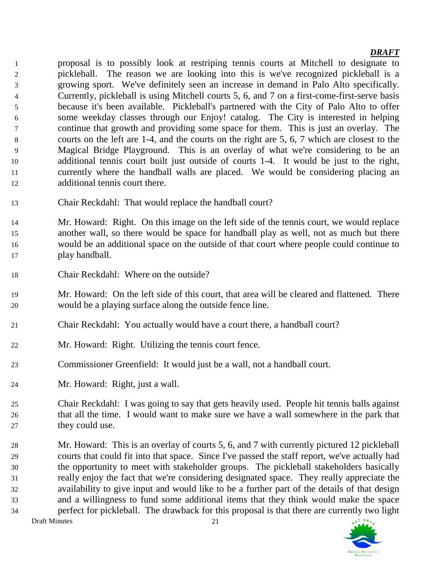proposal is to possibly look at restriping tennis courts at Mitchell to designate to pickleball. The reason we are looking into this is we've recognized pickleball is a growing sport. We've definitely seen an increase in demand in Palo Alto specifically. Currently, pickleball is using Mitchell courts 5, 6, and 7 on a first-come-first-serve basis because it's been available. Pickleball's partnered with the City of Palo Alto to offer some weekday classes through our Enjoy! catalog. The City is interested in helping continue that growth and providing some space for them. This is just an overlay. The courts on the left are 1-4, and the courts on the right are 5, 6, 7 which are closest to the Magical Bridge Playground. This is an overlay of what we're considering to be an additional tennis court built just outside of courts 1-4. It would be just to the right, currently where the handball walls are placed. We would be considering placing an additional tennis court there.

- Chair Reckdahl: That would replace the handball court?
- Mr. Howard: Right. On this image on the left side of the tennis court, we would replace another wall, so there would be space for handball play as well, not as much but there would be an additional space on the outside of that court where people could continue to play handball.
- Chair Reckdahl: Where on the outside?
- Mr. Howard: On the left side of this court, that area will be cleared and flattened. There would be a playing surface along the outside fence line.
- Chair Reckdahl: You actually would have a court there, a handball court?
- Mr. Howard: Right. Utilizing the tennis court fence.
- Commissioner Greenfield: It would just be a wall, not a handball court.
- Mr. Howard: Right, just a wall.
- Chair Reckdahl: I was going to say that gets heavily used. People hit tennis balls against that all the time. I would want to make sure we have a wall somewhere in the park that 27 they could use.
- Mr. Howard: This is an overlay of courts 5, 6, and 7 with currently pictured 12 pickleball courts that could fit into that space. Since I've passed the staff report, we've actually had the opportunity to meet with stakeholder groups. The pickleball stakeholders basically really enjoy the fact that we're considering designated space. They really appreciate the availability to give input and would like to be a further part of the details of that design and a willingness to fund some additional items that they think would make the space perfect for pickleball. The drawback for this proposal is that there are currently two light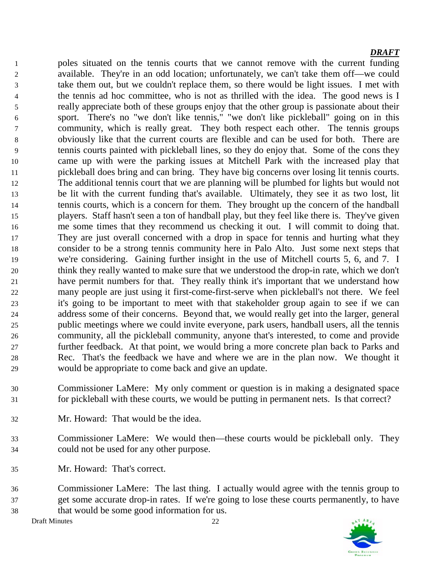poles situated on the tennis courts that we cannot remove with the current funding available. They're in an odd location; unfortunately, we can't take them off—we could take them out, but we couldn't replace them, so there would be light issues. I met with 4 the tennis ad hoc committee, who is not as thrilled with the idea. The good news is I really appreciate both of these groups enjoy that the other group is passionate about their sport. There's no "we don't like tennis," "we don't like pickleball" going on in this community, which is really great. They both respect each other. The tennis groups obviously like that the current courts are flexible and can be used for both. There are tennis courts painted with pickleball lines, so they do enjoy that. Some of the cons they came up with were the parking issues at Mitchell Park with the increased play that pickleball does bring and can bring. They have big concerns over losing lit tennis courts. The additional tennis court that we are planning will be plumbed for lights but would not be lit with the current funding that's available. Ultimately, they see it as two lost, lit tennis courts, which is a concern for them. They brought up the concern of the handball players. Staff hasn't seen a ton of handball play, but they feel like there is. They've given me some times that they recommend us checking it out. I will commit to doing that. They are just overall concerned with a drop in space for tennis and hurting what they consider to be a strong tennis community here in Palo Alto. Just some next steps that we're considering. Gaining further insight in the use of Mitchell courts 5, 6, and 7. I think they really wanted to make sure that we understood the drop-in rate, which we don't have permit numbers for that. They really think it's important that we understand how many people are just using it first-come-first-serve when pickleball's not there. We feel it's going to be important to meet with that stakeholder group again to see if we can address some of their concerns. Beyond that, we would really get into the larger, general public meetings where we could invite everyone, park users, handball users, all the tennis community, all the pickleball community, anyone that's interested, to come and provide further feedback. At that point, we would bring a more concrete plan back to Parks and Rec. That's the feedback we have and where we are in the plan now. We thought it would be appropriate to come back and give an update.

- Commissioner LaMere: My only comment or question is in making a designated space for pickleball with these courts, we would be putting in permanent nets. Is that correct?
- Mr. Howard: That would be the idea.
- Commissioner LaMere: We would then—these courts would be pickleball only. They could not be used for any other purpose.
- Mr. Howard: That's correct.
- Commissioner LaMere: The last thing. I actually would agree with the tennis group to get some accurate drop-in rates. If we're going to lose these courts permanently, to have that would be some good information for us.

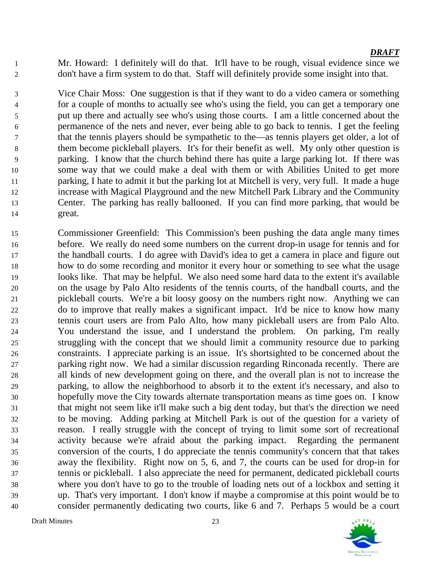Mr. Howard: I definitely will do that. It'll have to be rough, visual evidence since we don't have a firm system to do that. Staff will definitely provide some insight into that.

 Vice Chair Moss: One suggestion is that if they want to do a video camera or something for a couple of months to actually see who's using the field, you can get a temporary one put up there and actually see who's using those courts. I am a little concerned about the permanence of the nets and never, ever being able to go back to tennis. I get the feeling that the tennis players should be sympathetic to the—as tennis players get older, a lot of them become pickleball players. It's for their benefit as well. My only other question is parking. I know that the church behind there has quite a large parking lot. If there was some way that we could make a deal with them or with Abilities United to get more parking, I hate to admit it but the parking lot at Mitchell is very, very full. It made a huge increase with Magical Playground and the new Mitchell Park Library and the Community Center. The parking has really ballooned. If you can find more parking, that would be great.

 Commissioner Greenfield: This Commission's been pushing the data angle many times before. We really do need some numbers on the current drop-in usage for tennis and for the handball courts. I do agree with David's idea to get a camera in place and figure out how to do some recording and monitor it every hour or something to see what the usage looks like. That may be helpful. We also need some hard data to the extent it's available on the usage by Palo Alto residents of the tennis courts, of the handball courts, and the pickleball courts. We're a bit loosy goosy on the numbers right now. Anything we can do to improve that really makes a significant impact. It'd be nice to know how many tennis court users are from Palo Alto, how many pickleball users are from Palo Alto. You understand the issue, and I understand the problem. On parking, I'm really struggling with the concept that we should limit a community resource due to parking constraints. I appreciate parking is an issue. It's shortsighted to be concerned about the parking right now. We had a similar discussion regarding Rinconada recently. There are all kinds of new development going on there, and the overall plan is not to increase the parking, to allow the neighborhood to absorb it to the extent it's necessary, and also to hopefully move the City towards alternate transportation means as time goes on. I know that might not seem like it'll make such a big dent today, but that's the direction we need to be moving. Adding parking at Mitchell Park is out of the question for a variety of reason. I really struggle with the concept of trying to limit some sort of recreational activity because we're afraid about the parking impact. Regarding the permanent conversion of the courts, I do appreciate the tennis community's concern that that takes away the flexibility. Right now on 5, 6, and 7, the courts can be used for drop-in for tennis or pickleball. I also appreciate the need for permanent, dedicated pickleball courts where you don't have to go to the trouble of loading nets out of a lockbox and setting it up. That's very important. I don't know if maybe a compromise at this point would be to consider permanently dedicating two courts, like 6 and 7. Perhaps 5 would be a court

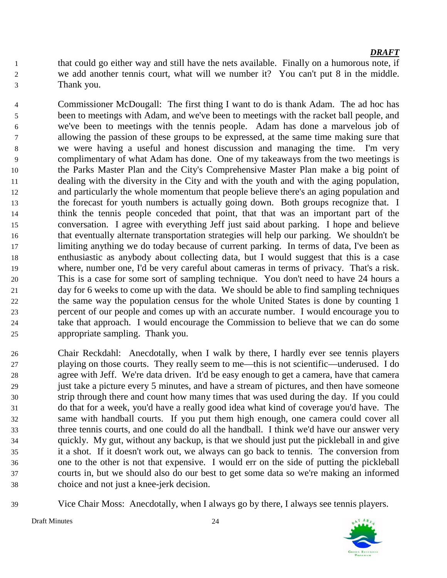- that could go either way and still have the nets available. Finally on a humorous note, if we add another tennis court, what will we number it? You can't put 8 in the middle. Thank you.
- Commissioner McDougall: The first thing I want to do is thank Adam. The ad hoc has been to meetings with Adam, and we've been to meetings with the racket ball people, and we've been to meetings with the tennis people. Adam has done a marvelous job of allowing the passion of these groups to be expressed, at the same time making sure that we were having a useful and honest discussion and managing the time. I'm very complimentary of what Adam has done. One of my takeaways from the two meetings is the Parks Master Plan and the City's Comprehensive Master Plan make a big point of dealing with the diversity in the City and with the youth and with the aging population, and particularly the whole momentum that people believe there's an aging population and the forecast for youth numbers is actually going down. Both groups recognize that. I think the tennis people conceded that point, that that was an important part of the conversation. I agree with everything Jeff just said about parking. I hope and believe that eventually alternate transportation strategies will help our parking. We shouldn't be limiting anything we do today because of current parking. In terms of data, I've been as enthusiastic as anybody about collecting data, but I would suggest that this is a case where, number one, I'd be very careful about cameras in terms of privacy. That's a risk. This is a case for some sort of sampling technique. You don't need to have 24 hours a day for 6 weeks to come up with the data. We should be able to find sampling techniques the same way the population census for the whole United States is done by counting 1 percent of our people and comes up with an accurate number. I would encourage you to take that approach. I would encourage the Commission to believe that we can do some appropriate sampling. Thank you.
- Chair Reckdahl: Anecdotally, when I walk by there, I hardly ever see tennis players playing on those courts. They really seem to me—this is not scientific—underused. I do agree with Jeff. We're data driven. It'd be easy enough to get a camera, have that camera just take a picture every 5 minutes, and have a stream of pictures, and then have someone strip through there and count how many times that was used during the day. If you could do that for a week, you'd have a really good idea what kind of coverage you'd have. The same with handball courts. If you put them high enough, one camera could cover all three tennis courts, and one could do all the handball. I think we'd have our answer very quickly. My gut, without any backup, is that we should just put the pickleball in and give it a shot. If it doesn't work out, we always can go back to tennis. The conversion from one to the other is not that expensive. I would err on the side of putting the pickleball courts in, but we should also do our best to get some data so we're making an informed choice and not just a knee-jerk decision.
- 

Vice Chair Moss: Anecdotally, when I always go by there, I always see tennis players.

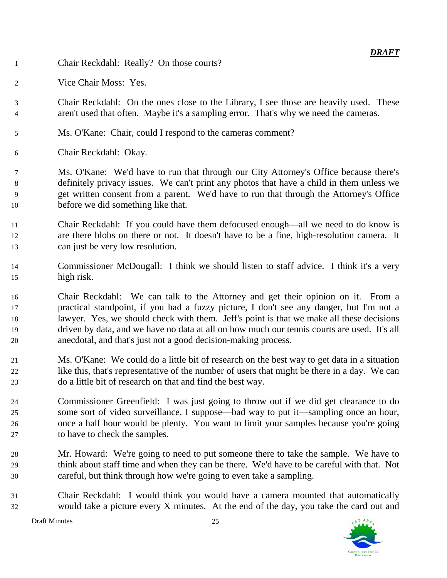- Chair Reckdahl: Really? On those courts?
- Vice Chair Moss: Yes.
- Chair Reckdahl: On the ones close to the Library, I see those are heavily used. These aren't used that often. Maybe it's a sampling error. That's why we need the cameras.
- Ms. O'Kane: Chair, could I respond to the cameras comment?
- Chair Reckdahl: Okay.

 Ms. O'Kane: We'd have to run that through our City Attorney's Office because there's definitely privacy issues. We can't print any photos that have a child in them unless we get written consent from a parent. We'd have to run that through the Attorney's Office before we did something like that.

 Chair Reckdahl: If you could have them defocused enough—all we need to do know is are there blobs on there or not. It doesn't have to be a fine, high-resolution camera. It can just be very low resolution.

- Commissioner McDougall: I think we should listen to staff advice. I think it's a very high risk.
- Chair Reckdahl: We can talk to the Attorney and get their opinion on it. From a practical standpoint, if you had a fuzzy picture, I don't see any danger, but I'm not a lawyer. Yes, we should check with them. Jeff's point is that we make all these decisions driven by data, and we have no data at all on how much our tennis courts are used. It's all anecdotal, and that's just not a good decision-making process.
- Ms. O'Kane: We could do a little bit of research on the best way to get data in a situation like this, that's representative of the number of users that might be there in a day. We can do a little bit of research on that and find the best way.
- Commissioner Greenfield: I was just going to throw out if we did get clearance to do some sort of video surveillance, I suppose—bad way to put it—sampling once an hour, once a half hour would be plenty. You want to limit your samples because you're going to have to check the samples.
- Mr. Howard: We're going to need to put someone there to take the sample. We have to think about staff time and when they can be there. We'd have to be careful with that. Not careful, but think through how we're going to even take a sampling.
- Chair Reckdahl: I would think you would have a camera mounted that automatically would take a picture every X minutes. At the end of the day, you take the card out and

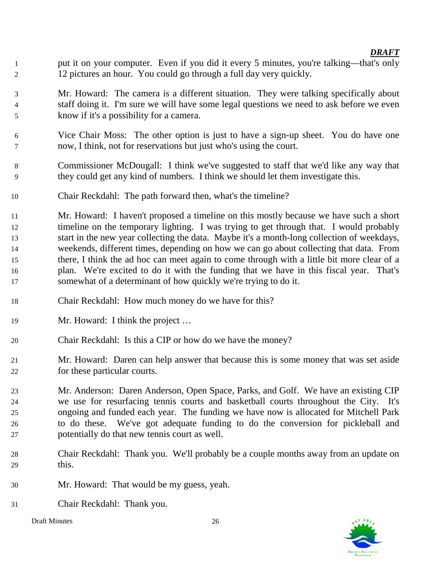- 1 put it on your computer. Even if you did it every 5 minutes, you're talking—that's only 12 pictures an hour. You could go through a full day very quickly.
- Mr. Howard: The camera is a different situation. They were talking specifically about staff doing it. I'm sure we will have some legal questions we need to ask before we even know if it's a possibility for a camera.
- Vice Chair Moss: The other option is just to have a sign-up sheet. You do have one now, I think, not for reservations but just who's using the court.
- Commissioner McDougall: I think we've suggested to staff that we'd like any way that they could get any kind of numbers. I think we should let them investigate this.
- Chair Reckdahl: The path forward then, what's the timeline?
- Mr. Howard: I haven't proposed a timeline on this mostly because we have such a short timeline on the temporary lighting. I was trying to get through that. I would probably start in the new year collecting the data. Maybe it's a month-long collection of weekdays, weekends, different times, depending on how we can go about collecting that data. From there, I think the ad hoc can meet again to come through with a little bit more clear of a plan. We're excited to do it with the funding that we have in this fiscal year. That's somewhat of a determinant of how quickly we're trying to do it.
- Chair Reckdahl: How much money do we have for this?
- 19 Mr. Howard: I think the project ...
- Chair Reckdahl: Is this a CIP or how do we have the money?
- Mr. Howard: Daren can help answer that because this is some money that was set aside for these particular courts.
- Mr. Anderson: Daren Anderson, Open Space, Parks, and Golf. We have an existing CIP we use for resurfacing tennis courts and basketball courts throughout the City. It's ongoing and funded each year. The funding we have now is allocated for Mitchell Park to do these. We've got adequate funding to do the conversion for pickleball and potentially do that new tennis court as well.
- Chair Reckdahl: Thank you. We'll probably be a couple months away from an update on this.
- Mr. Howard: That would be my guess, yeah.
- Chair Reckdahl: Thank you.



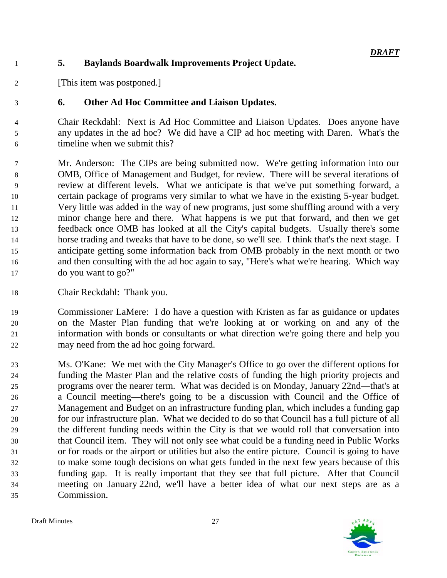## **5. Baylands Boardwalk Improvements Project Update.**

[This item was postponed.]

## **6. Other Ad Hoc Committee and Liaison Updates.**

 Chair Reckdahl: Next is Ad Hoc Committee and Liaison Updates. Does anyone have any updates in the ad hoc? We did have a CIP ad hoc meeting with Daren. What's the timeline when we submit this?

 Mr. Anderson: The CIPs are being submitted now. We're getting information into our OMB, Office of Management and Budget, for review. There will be several iterations of review at different levels. What we anticipate is that we've put something forward, a certain package of programs very similar to what we have in the existing 5-year budget. Very little was added in the way of new programs, just some shuffling around with a very minor change here and there. What happens is we put that forward, and then we get feedback once OMB has looked at all the City's capital budgets. Usually there's some horse trading and tweaks that have to be done, so we'll see. I think that's the next stage. I anticipate getting some information back from OMB probably in the next month or two and then consulting with the ad hoc again to say, "Here's what we're hearing. Which way do you want to go?"

Chair Reckdahl: Thank you.

 Commissioner LaMere: I do have a question with Kristen as far as guidance or updates on the Master Plan funding that we're looking at or working on and any of the information with bonds or consultants or what direction we're going there and help you may need from the ad hoc going forward.

 Ms. O'Kane: We met with the City Manager's Office to go over the different options for funding the Master Plan and the relative costs of funding the high priority projects and programs over the nearer term. What was decided is on Monday, January 22nd—that's at a Council meeting—there's going to be a discussion with Council and the Office of Management and Budget on an infrastructure funding plan, which includes a funding gap for our infrastructure plan. What we decided to do so that Council has a full picture of all the different funding needs within the City is that we would roll that conversation into that Council item. They will not only see what could be a funding need in Public Works or for roads or the airport or utilities but also the entire picture. Council is going to have to make some tough decisions on what gets funded in the next few years because of this funding gap. It is really important that they see that full picture. After that Council meeting on January 22nd, we'll have a better idea of what our next steps are as a Commission.

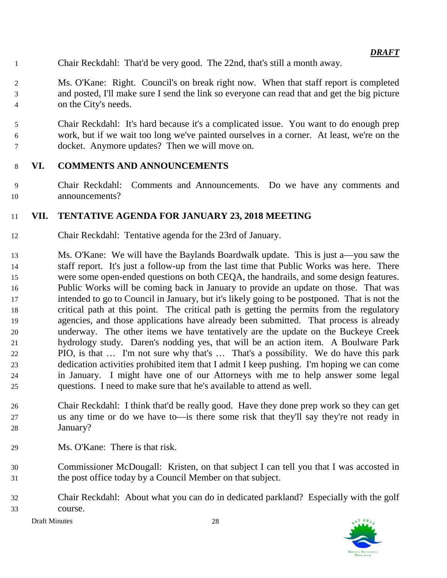- Chair Reckdahl: That'd be very good. The 22nd, that's still a month away.
- Ms. O'Kane: Right. Council's on break right now. When that staff report is completed and posted, I'll make sure I send the link so everyone can read that and get the big picture on the City's needs.
- Chair Reckdahl: It's hard because it's a complicated issue. You want to do enough prep work, but if we wait too long we've painted ourselves in a corner. At least, we're on the docket. Anymore updates? Then we will move on.

### **VI. COMMENTS AND ANNOUNCEMENTS**

 Chair Reckdahl: Comments and Announcements. Do we have any comments and announcements?

### **VII. TENTATIVE AGENDA FOR JANUARY 23, 2018 MEETING**

- Chair Reckdahl: Tentative agenda for the 23rd of January.
- Ms. O'Kane: We will have the Baylands Boardwalk update. This is just a—you saw the staff report. It's just a follow-up from the last time that Public Works was here. There were some open-ended questions on both CEQA, the handrails, and some design features. Public Works will be coming back in January to provide an update on those. That was intended to go to Council in January, but it's likely going to be postponed. That is not the critical path at this point. The critical path is getting the permits from the regulatory agencies, and those applications have already been submitted. That process is already underway. The other items we have tentatively are the update on the Buckeye Creek hydrology study. Daren's nodding yes, that will be an action item. A Boulware Park PIO, is that … I'm not sure why that's … That's a possibility. We do have this park dedication activities prohibited item that I admit I keep pushing. I'm hoping we can come in January. I might have one of our Attorneys with me to help answer some legal questions. I need to make sure that he's available to attend as well.
- Chair Reckdahl: I think that'd be really good. Have they done prep work so they can get us any time or do we have to—is there some risk that they'll say they're not ready in January?
- Ms. O'Kane: There is that risk.
- Commissioner McDougall: Kristen, on that subject I can tell you that I was accosted in the post office today by a Council Member on that subject.
- Chair Reckdahl: About what you can do in dedicated parkland? Especially with the golf course.

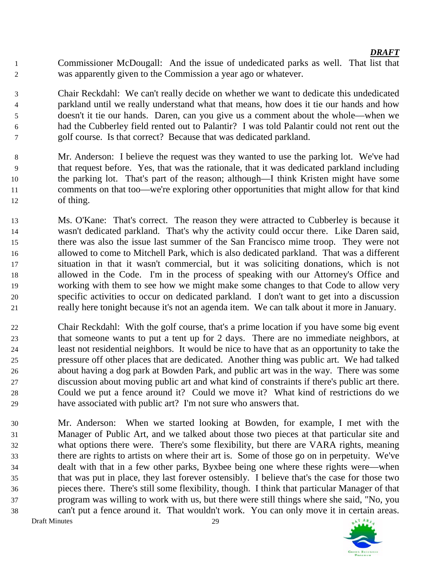Commissioner McDougall: And the issue of undedicated parks as well. That list that was apparently given to the Commission a year ago or whatever.

 Chair Reckdahl: We can't really decide on whether we want to dedicate this undedicated parkland until we really understand what that means, how does it tie our hands and how doesn't it tie our hands. Daren, can you give us a comment about the whole—when we had the Cubberley field rented out to Palantir? I was told Palantir could not rent out the golf course. Is that correct? Because that was dedicated parkland.

- Mr. Anderson: I believe the request was they wanted to use the parking lot. We've had that request before. Yes, that was the rationale, that it was dedicated parkland including the parking lot. That's part of the reason; although—I think Kristen might have some comments on that too—we're exploring other opportunities that might allow for that kind of thing.
- Ms. O'Kane: That's correct. The reason they were attracted to Cubberley is because it wasn't dedicated parkland. That's why the activity could occur there. Like Daren said, there was also the issue last summer of the San Francisco mime troop. They were not allowed to come to Mitchell Park, which is also dedicated parkland. That was a different situation in that it wasn't commercial, but it was soliciting donations, which is not allowed in the Code. I'm in the process of speaking with our Attorney's Office and working with them to see how we might make some changes to that Code to allow very specific activities to occur on dedicated parkland. I don't want to get into a discussion really here tonight because it's not an agenda item. We can talk about it more in January.
- Chair Reckdahl: With the golf course, that's a prime location if you have some big event that someone wants to put a tent up for 2 days. There are no immediate neighbors, at least not residential neighbors. It would be nice to have that as an opportunity to take the pressure off other places that are dedicated. Another thing was public art. We had talked about having a dog park at Bowden Park, and public art was in the way. There was some discussion about moving public art and what kind of constraints if there's public art there. Could we put a fence around it? Could we move it? What kind of restrictions do we have associated with public art? I'm not sure who answers that.
- Mr. Anderson: When we started looking at Bowden, for example, I met with the Manager of Public Art, and we talked about those two pieces at that particular site and what options there were. There's some flexibility, but there are VARA rights, meaning there are rights to artists on where their art is. Some of those go on in perpetuity. We've dealt with that in a few other parks, Byxbee being one where these rights were—when that was put in place, they last forever ostensibly. I believe that's the case for those two pieces there. There's still some flexibility, though. I think that particular Manager of that program was willing to work with us, but there were still things where she said, "No, you can't put a fence around it. That wouldn't work. You can only move it in certain areas. Draft Minutes 29

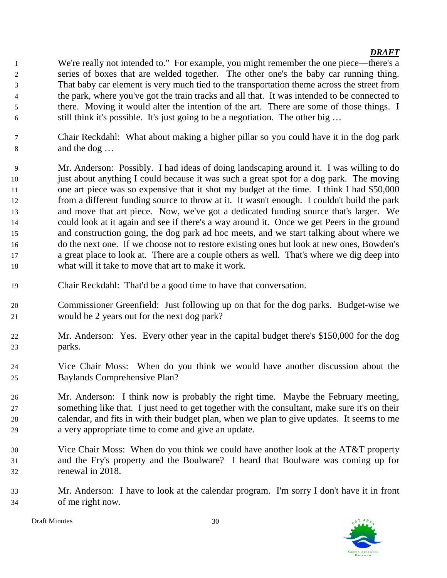- We're really not intended to." For example, you might remember the one piece—there's a series of boxes that are welded together. The other one's the baby car running thing. That baby car element is very much tied to the transportation theme across the street from the park, where you've got the train tracks and all that. It was intended to be connected to there. Moving it would alter the intention of the art. There are some of those things. I still think it's possible. It's just going to be a negotiation. The other big …
- Chair Reckdahl: What about making a higher pillar so you could have it in the dog park and the dog …
- Mr. Anderson: Possibly. I had ideas of doing landscaping around it. I was willing to do just about anything I could because it was such a great spot for a dog park. The moving one art piece was so expensive that it shot my budget at the time. I think I had \$50,000 from a different funding source to throw at it. It wasn't enough. I couldn't build the park and move that art piece. Now, we've got a dedicated funding source that's larger. We could look at it again and see if there's a way around it. Once we get Peers in the ground and construction going, the dog park ad hoc meets, and we start talking about where we do the next one. If we choose not to restore existing ones but look at new ones, Bowden's a great place to look at. There are a couple others as well. That's where we dig deep into what will it take to move that art to make it work.
- Chair Reckdahl: That'd be a good time to have that conversation.
- Commissioner Greenfield: Just following up on that for the dog parks. Budget-wise we would be 2 years out for the next dog park?
- Mr. Anderson: Yes. Every other year in the capital budget there's \$150,000 for the dog parks.
- Vice Chair Moss: When do you think we would have another discussion about the Baylands Comprehensive Plan?
- Mr. Anderson: I think now is probably the right time. Maybe the February meeting, something like that. I just need to get together with the consultant, make sure it's on their calendar, and fits in with their budget plan, when we plan to give updates. It seems to me a very appropriate time to come and give an update.
- Vice Chair Moss: When do you think we could have another look at the AT&T property and the Fry's property and the Boulware? I heard that Boulware was coming up for renewal in 2018.
- Mr. Anderson: I have to look at the calendar program. I'm sorry I don't have it in front of me right now.

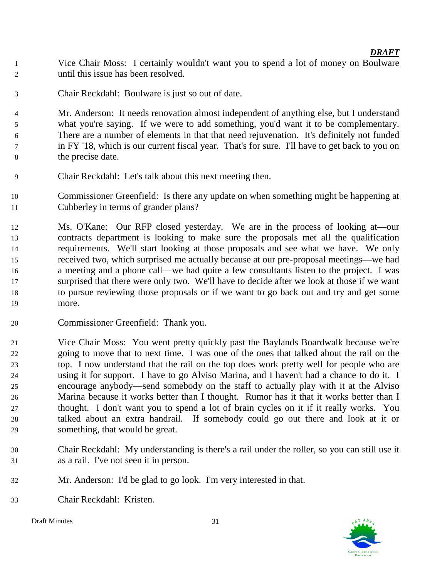- Vice Chair Moss: I certainly wouldn't want you to spend a lot of money on Boulware until this issue has been resolved.
- Chair Reckdahl: Boulware is just so out of date.

 Mr. Anderson: It needs renovation almost independent of anything else, but I understand what you're saying. If we were to add something, you'd want it to be complementary. There are a number of elements in that that need rejuvenation. It's definitely not funded in FY '18, which is our current fiscal year. That's for sure. I'll have to get back to you on the precise date.

- Chair Reckdahl: Let's talk about this next meeting then.
- Commissioner Greenfield: Is there any update on when something might be happening at Cubberley in terms of grander plans?
- Ms. O'Kane: Our RFP closed yesterday. We are in the process of looking at—our contracts department is looking to make sure the proposals met all the qualification requirements. We'll start looking at those proposals and see what we have. We only received two, which surprised me actually because at our pre-proposal meetings—we had a meeting and a phone call—we had quite a few consultants listen to the project. I was surprised that there were only two. We'll have to decide after we look at those if we want to pursue reviewing those proposals or if we want to go back out and try and get some more.
- Commissioner Greenfield: Thank you.
- Vice Chair Moss: You went pretty quickly past the Baylands Boardwalk because we're going to move that to next time. I was one of the ones that talked about the rail on the top. I now understand that the rail on the top does work pretty well for people who are using it for support. I have to go Alviso Marina, and I haven't had a chance to do it. I encourage anybody—send somebody on the staff to actually play with it at the Alviso Marina because it works better than I thought. Rumor has it that it works better than I thought. I don't want you to spend a lot of brain cycles on it if it really works. You talked about an extra handrail. If somebody could go out there and look at it or something, that would be great.
- Chair Reckdahl: My understanding is there's a rail under the roller, so you can still use it as a rail. I've not seen it in person.
- Mr. Anderson: I'd be glad to go look. I'm very interested in that.
- Chair Reckdahl: Kristen.

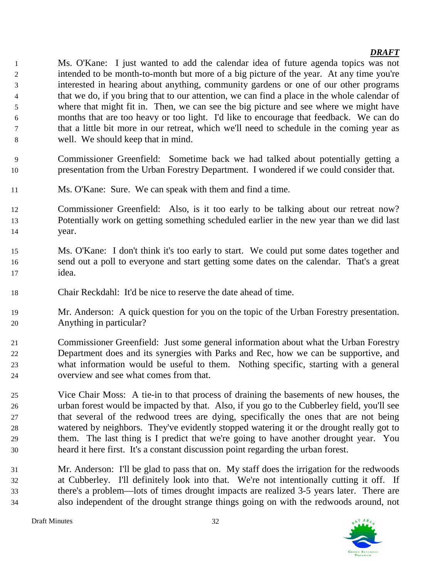Ms. O'Kane: I just wanted to add the calendar idea of future agenda topics was not intended to be month-to-month but more of a big picture of the year. At any time you're interested in hearing about anything, community gardens or one of our other programs that we do, if you bring that to our attention, we can find a place in the whole calendar of where that might fit in. Then, we can see the big picture and see where we might have months that are too heavy or too light. I'd like to encourage that feedback. We can do that a little bit more in our retreat, which we'll need to schedule in the coming year as well. We should keep that in mind.

- Commissioner Greenfield: Sometime back we had talked about potentially getting a presentation from the Urban Forestry Department. I wondered if we could consider that.
- Ms. O'Kane: Sure. We can speak with them and find a time.
- Commissioner Greenfield: Also, is it too early to be talking about our retreat now? Potentially work on getting something scheduled earlier in the new year than we did last year.
- Ms. O'Kane: I don't think it's too early to start. We could put some dates together and send out a poll to everyone and start getting some dates on the calendar. That's a great idea.
- Chair Reckdahl: It'd be nice to reserve the date ahead of time.
- Mr. Anderson: A quick question for you on the topic of the Urban Forestry presentation. Anything in particular?
- Commissioner Greenfield: Just some general information about what the Urban Forestry Department does and its synergies with Parks and Rec, how we can be supportive, and what information would be useful to them. Nothing specific, starting with a general overview and see what comes from that.
- Vice Chair Moss: A tie-in to that process of draining the basements of new houses, the urban forest would be impacted by that. Also, if you go to the Cubberley field, you'll see that several of the redwood trees are dying, specifically the ones that are not being watered by neighbors. They've evidently stopped watering it or the drought really got to them. The last thing is I predict that we're going to have another drought year. You heard it here first. It's a constant discussion point regarding the urban forest.
- Mr. Anderson: I'll be glad to pass that on. My staff does the irrigation for the redwoods at Cubberley. I'll definitely look into that. We're not intentionally cutting it off. If there's a problem—lots of times drought impacts are realized 3-5 years later. There are also independent of the drought strange things going on with the redwoods around, not